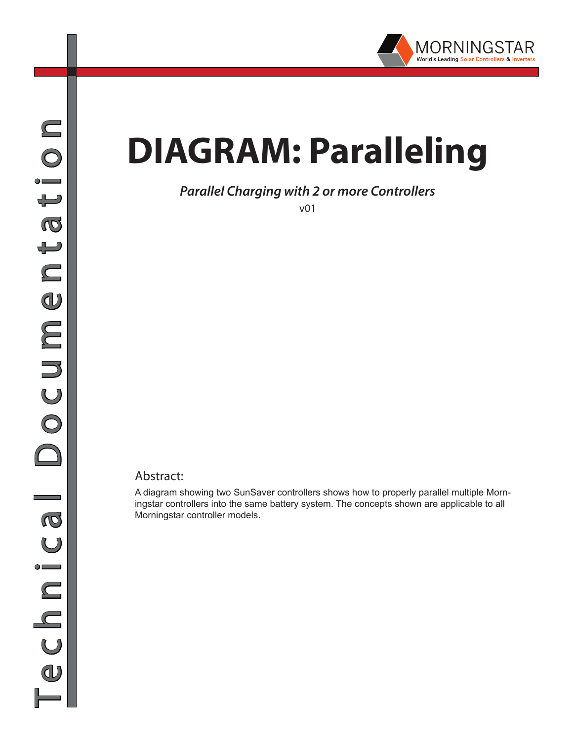

## **DIAGRAM: Paralleling**

## *Parallel Charging with 2 or more Controllers*

v01

## Abstract:

A diagram showing two SunSaver controllers shows how to properly parallel multiple Morningstar controllers into the same battery system. The concepts shown are applicable to all Morningstar controller models.